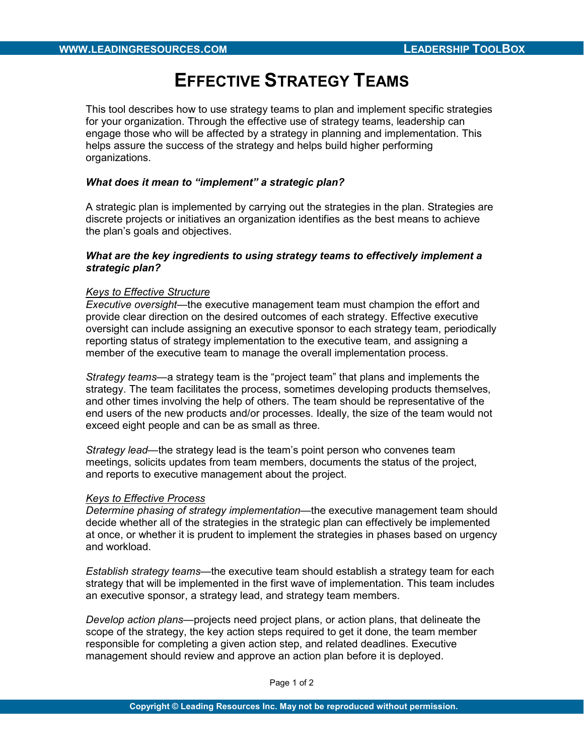# EFFECTIVE STRATEGY TEAMS

This tool describes how to use strategy teams to plan and implement specific strategies for your organization. Through the effective use of strategy teams, leadership can engage those who will be affected by a strategy in planning and implementation. This helps assure the success of the strategy and helps build higher performing organizations.

### What does it mean to "implement" a strategic plan?

A strategic plan is implemented by carrying out the strategies in the plan. Strategies are discrete projects or initiatives an organization identifies as the best means to achieve the plan's goals and objectives.

### What are the key ingredients to using strategy teams to effectively implement a strategic plan?

#### Keys to Effective Structure

Executive oversight—the executive management team must champion the effort and provide clear direction on the desired outcomes of each strategy. Effective executive oversight can include assigning an executive sponsor to each strategy team, periodically reporting status of strategy implementation to the executive team, and assigning a member of the executive team to manage the overall implementation process.

Strategy teams—a strategy team is the "project team" that plans and implements the strategy. The team facilitates the process, sometimes developing products themselves, and other times involving the help of others. The team should be representative of the end users of the new products and/or processes. Ideally, the size of the team would not exceed eight people and can be as small as three.

Strategy lead—the strategy lead is the team's point person who convenes team meetings, solicits updates from team members, documents the status of the project, and reports to executive management about the project.

## Keys to Effective Process

Determine phasing of strategy implementation—the executive management team should decide whether all of the strategies in the strategic plan can effectively be implemented at once, or whether it is prudent to implement the strategies in phases based on urgency and workload.

Establish strategy teams—the executive team should establish a strategy team for each strategy that will be implemented in the first wave of implementation. This team includes an executive sponsor, a strategy lead, and strategy team members.

Develop action plans—projects need project plans, or action plans, that delineate the scope of the strategy, the key action steps required to get it done, the team member responsible for completing a given action step, and related deadlines. Executive management should review and approve an action plan before it is deployed.

Page 1 of 2